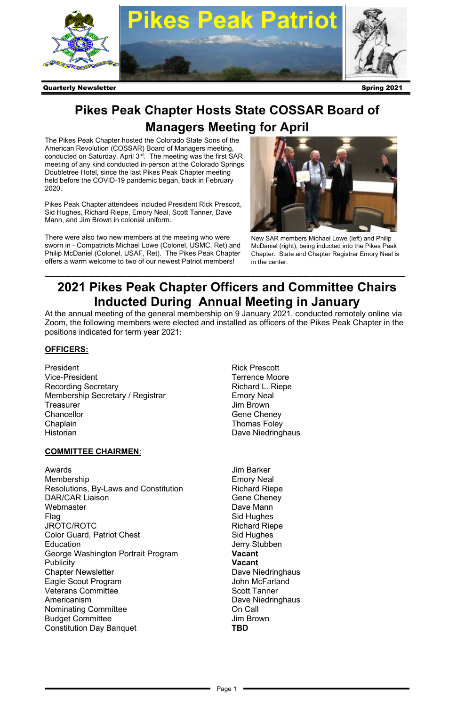

### **Pikes Peak Chapter Hosts State COSSAR Board of Managers Meeting for April**

The Pikes Peak Chapter hosted the Colorado State Sons of the American Revolution (COSSAR) Board of Managers meeting, conducted on Saturday, April 3<sup>rd</sup>. The meeting was the first SAR meeting of any kind conducted in-person at the Colorado Springs Doubletree Hotel, since the last Pikes Peak Chapter meeting held before the COVID-19 pandemic began, back in February 2020.

Pikes Peak Chapter attendees included President Rick Prescott, Sid Hughes, Richard Riepe, Emory Neal, Scott Tanner, Dave Mann, and Jim Brown in colonial uniform.

There were also two new members at the meeting who were sworn in - Compatriots Michael Lowe (Colonel, USMC, Ret) and Philip McDaniel (Colonel, USAF, Ret). The Pikes Peak Chapter offers a warm welcome to two of our newest Patriot members!

#### ---------------------------------------------------------------------------------------------------------------------------------------------------------------------------------------------------------------------------------- **2021 Pikes Peak Chapter Officers and Committee Chairs Inducted During Annual Meeting in January**

At the annual meeting of the general membership on 9 January 2021, conducted remotely online via Zoom, the following members were elected and installed as officers of the Pikes Peak Chapter in the positions indicated for term year 2021:

#### **OFFICERS:**

President **Rick Prescott** Vice-President **Terrence Moore** Recording Secretary **Richard L. Riepe** Richard L. Riepe Membership Secretary / Registrar Emory Neal **Treasurer Contract Contract Contract Contract Contract Contract Contract Contract Contract Contract Contract Contract Contract Contract Contract Contract Contract Contract Contract Contract Contract Contract Contract Cont** Chancellor **Gene Cheney** Chaplain Thomas Foley Historian **Dave Niedringhaus** 

#### **COMMITTEE CHAIRMEN**:

Awards **Awards Awards CONFIDENTIAL CONTRACT** Membership **Emory Neal** Resolutions, By-Laws and Constitution Richard Riepe DAR/CAR Liaison Gene Cheney Webmaster **Dave Mann** Flag Sid Hughes JROTC/ROTC **Richard Riepe** Color Guard, Patriot Chest Sid Hughes Education **General Contract Contract Contract Contract Contract Contract Contract Contract Contract Contract Contract Contract Contract Contract Contract Contract Contract Contract Contract Contract Contract Contract Contr** George Washington Portrait Program **Vacant** Publicity **Vacant** Chapter Newsletter **Dave Niedringhaus** Eagle Scout Program and The Scout Program Account of the Scout Program Account of the United Scouts Account of Veterans Committee **Scott Tanner** Scott Tanner Americanism **Dave Niedringhaus** Nominating Committee **Call** Committee **Call** Committee **On Call** Budget Committee **Jim Brown Constitution Day Banquet Constitution Day Banquet** 

- 
- 



New SAR members Michael Lowe (left) and Philip McDaniel (right), being inducted into the Pikes Peak Chapter. State and Chapter Registrar Emory Neal is in the center.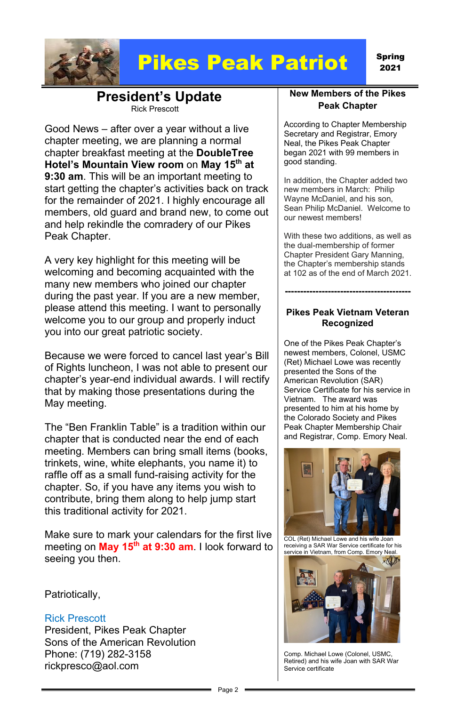

2021

# **President's Update**<br>Rick Prescott

Good News – after over a year without a live chapter meeting, we are planning a normal chapter breakfast meeting at the **DoubleTree Hotel's Mountain View room** on **May 15th at 9:30 am**. This will be an important meeting to start getting the chapter's activities back on track for the remainder of 2021. I highly encourage all members, old guard and brand new, to come out and help rekindle the comradery of our Pikes Peak Chapter.

A very key highlight for this meeting will be welcoming and becoming acquainted with the many new members who joined our chapter during the past year. If you are a new member, please attend this meeting. I want to personally welcome you to our group and properly induct you into our great patriotic society.

Because we were forced to cancel last year's Bill of Rights luncheon, I was not able to present our chapter's year-end individual awards. I will rectify that by making those presentations during the May meeting.

The "Ben Franklin Table" is a tradition within our chapter that is conducted near the end of each meeting. Members can bring small items (books, trinkets, wine, white elephants, you name it) to raffle off as a small fund-raising activity for the chapter. So, if you have any items you wish to contribute, bring them along to help jump start this traditional activity for 2021.

Make sure to mark your calendars for the first live meeting on **May 15th at 9:30 am**. I look forward to seeing you then.

Patriotically,

Rick Prescott President, Pikes Peak Chapter Sons of the American Revolution Phone: (719) 282-3158 rickpresco@aol.com



#### **New Members of the Pikes Peak Chapter**

According to Chapter Membership Secretary and Registrar, Emory Neal, the Pikes Peak Chapter began 2021 with 99 members in good standing.

In addition, the Chapter added two new members in March: Philip Wayne McDaniel, and his son, Sean Philip McDaniel. Welcome to our newest members!

With these two additions, as well as the dual-membership of former Chapter President Gary Manning, the Chapter's membership stands at 102 as of the end of March 2021.

**-----------------------------------------**

#### **Pikes Peak Vietnam Veteran Recognized**

One of the Pikes Peak Chapter's newest members, Colonel, USMC (Ret) Michael Lowe was recently presented the Sons of the American Revolution (SAR) Service Certificate for his service in Vietnam. The award was presented to him at his home by the Colorado Society and Pikes Peak Chapter Membership Chair and Registrar, Comp. Emory Neal.



COL (Ret) Michael Lowe and his wife Joan receiving a SAR War Service certificate for his service in Vietnam, from Comp. Emory Neal.



Comp. Michael Lowe (Colonel, USMC, Retired) and his wife Joan with SAR War Service certificate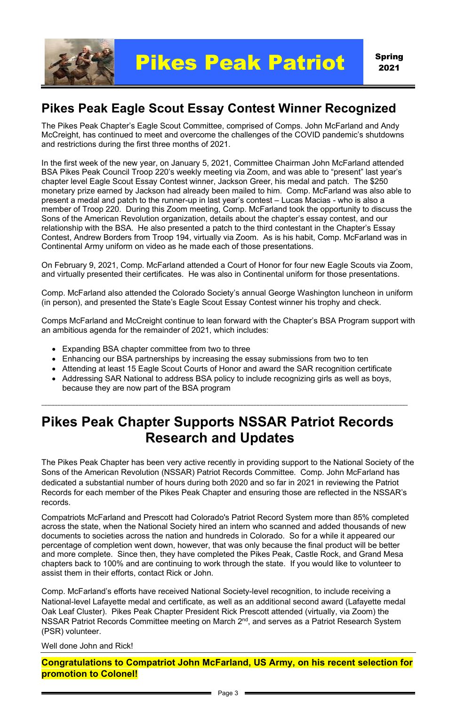

### **Pikes Peak Eagle Scout Essay Contest Winner Recognized**

The Pikes Peak Chapter's Eagle Scout Committee, comprised of Comps. John McFarland and Andy McCreight, has continued to meet and overcome the challenges of the COVID pandemic's shutdowns and restrictions during the first three months of 2021.

In the first week of the new year, on January 5, 2021, Committee Chairman John McFarland attended BSA Pikes Peak Council Troop 220's weekly meeting via Zoom, and was able to "present" last year's chapter level Eagle Scout Essay Contest winner, Jackson Greer, his medal and patch. The \$250 monetary prize earned by Jackson had already been mailed to him. Comp. McFarland was also able to present a medal and patch to the runner-up in last year's contest – Lucas Macias - who is also a member of Troop 220. During this Zoom meeting, Comp. McFarland took the opportunity to discuss the Sons of the American Revolution organization, details about the chapter's essay contest, and our relationship with the BSA. He also presented a patch to the third contestant in the Chapter's Essay Contest, Andrew Borders from Troop 194, virtually via Zoom. As is his habit, Comp. McFarland was in Continental Army uniform on video as he made each of those presentations.

On February 9, 2021, Comp. McFarland attended a Court of Honor for four new Eagle Scouts via Zoom, and virtually presented their certificates. He was also in Continental uniform for those presentations.

Comp. McFarland also attended the Colorado Society's annual George Washington luncheon in uniform (in person), and presented the State's Eagle Scout Essay Contest winner his trophy and check.

Comps McFarland and McCreight continue to lean forward with the Chapter's BSA Program support with an ambitious agenda for the remainder of 2021, which includes:

- Expanding BSA chapter committee from two to three
- Enhancing our BSA partnerships by increasing the essay submissions from two to ten
- Attending at least 15 Eagle Scout Courts of Honor and award the SAR recognition certificate
- Addressing SAR National to address BSA policy to include recognizing girls as well as boys, because they are now part of the BSA program

--------------------------------------------------------------------------------------------------------------------------------------------------------------------------------------------------------------------------------------

### **Pikes Peak Chapter Supports NSSAR Patriot Records Research and Updates**

The Pikes Peak Chapter has been very active recently in providing support to the National Society of the Sons of the American Revolution (NSSAR) Patriot Records Committee. Comp. John McFarland has dedicated a substantial number of hours during both 2020 and so far in 2021 in reviewing the Patriot Records for each member of the Pikes Peak Chapter and ensuring those are reflected in the NSSAR's records.

Compatriots McFarland and Prescott had Colorado's Patriot Record System more than 85% completed across the state, when the National Society hired an intern who scanned and added thousands of new documents to societies across the nation and hundreds in Colorado. So for a while it appeared our percentage of completion went down, however, that was only because the final product will be better and more complete. Since then, they have completed the Pikes Peak, Castle Rock, and Grand Mesa chapters back to 100% and are continuing to work through the state. If you would like to volunteer to assist them in their efforts, contact Rick or John.

Comp. McFarland's efforts have received National Society-level recognition, to include receiving a National-level Lafayette medal and certificate, as well as an additional second award (Lafayette medal Oak Leaf Cluster). Pikes Peak Chapter President Rick Prescott attended (virtually, via Zoom) the NSSAR Patriot Records Committee meeting on March 2<sup>nd</sup>, and serves as a Patriot Research System (PSR) volunteer.

Well done John and Rick!

**Congratulations to Compatriot John McFarland, US Army, on his recent selection for promotion to Colonel!**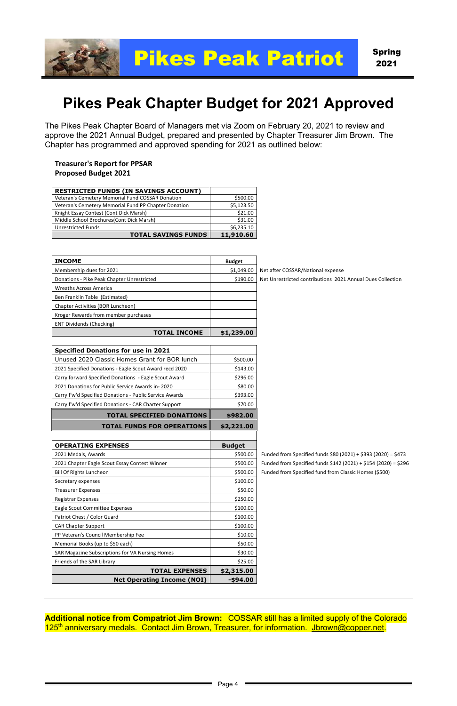2021

### **Pikes Peak Chapter Budget for 2021 Approved**

The Pikes Peak Chapter Board of Managers met via Zoom on February 20, 2021 to review and approve the 2021 Annual Budget, prepared and presented by Chapter Treasurer Jim Brown. The Chapter has programmed and approved spending for 2021 as outlined below:

**Treasurer's Report for PPSAR Proposed Budget 2021**

**Specified Donations for use in 2021** Unused 2020 Classic Homes Grant for BOR lunch | \$500.00 2021 Specified Donations - Eagle Scout Award recd 2020 | \$143.00 Carry forward Specified Donations - Eagle Scout Award | \$296.00 2021 Donations for Public Service Awards in-2020 <br>
\$80.00 Carry f'w'd Specified Donations - Public Service Awards **\$393.00** Carry f'w'd Specified Donations - CAR Charter Support \$70.00 **TOTAL SPECIFIED DONATIONS** \$982.00 **TOTAL FUNDS FOR OPERATIONS** \$2,221.00 **OPERATING EXPENSES Budget** 2021 Medals, Awards \$500.00 Funded from Specified funds \$80 (2021) + \$393 (2020) = \$473 2021 Chapter Eagle Scout Essay Contest Winner \$500.00 Funded from Specified funds \$142 (2021) + \$154 (2020) = \$296 Bill Of Rights Luncheon **Bill Of Rights Luncheon Number of Classic Homes (\$500)** Funded from Specified fund from Classic Homes (\$500) Secretary expenses  $\vert$  \$100.00 Treasurer Expenses  $\vert$  \$50.00 Registrar Expenses  $\vert$  \$250.00 Eagle Scout Committee Expenses  $\vert$  \$100.00 Patriot Chest / Color Guard  $\vert$  \$100.00

Net after COSSAR/National expense

Net Unrestricted contributions 2021 Annual Dues Collection

| <b>RESTRICTED FUNDS (IN SAVINGS ACCOUNT)</b>         |            |
|------------------------------------------------------|------------|
| Veteran's Cemetery Memorial Fund COSSAR Donation     | \$500.00   |
| Veteran's Cemetery Memorial Fund PP Chapter Donation | \$5,123.50 |
| Knight Essay Contest (Cont Dick Marsh)               | \$21.00    |
| Middle School Brochures(Cont Dick Marsh)             | \$31.00    |
| <b>Unrestricted Funds</b>                            | \$6,235.10 |
| <b>TOTAL SAVINGS FUNDS</b>                           | 11,910.60  |

| <b>INCOME</b>                              | <b>Budget</b> |
|--------------------------------------------|---------------|
| Membership dues for 2021                   | \$1,049.00    |
| Donations - Pike Peak Chapter Unrestricted | \$190.00      |
| <b>Wreaths Across America</b>              |               |
| Ben Franklin Table (Estimated)             |               |
| Chapter Activities (BOR Luncheon)          |               |
| Kroger Rewards from member purchases       |               |
| <b>ENT Dividends (Checking)</b>            |               |
| TOTAL INCOME                               | \$1,239.00    |

**Additional notice from Compatriot Jim Brown:** COSSAR still has a limited supply of the Colorado 125<sup>th</sup> anniversary medals. Contact Jim Brown, Treasurer, for information. [Jbrown@copper.net.](mailto:Jbrown@copper.net)

|                                                 | .          |
|-------------------------------------------------|------------|
| <b>CAR Chapter Support</b>                      | \$100.00   |
| PP Veteran's Council Membership Fee             | \$10.00    |
| Memorial Books (up to \$50 each)                | \$50.00    |
| SAR Magazine Subscriptions for VA Nursing Homes | \$30.00    |
| Friends of the SAR Library                      | \$25.00    |
| <b>TOTAL EXPENSES</b>                           | \$2,315.00 |
| <b>Net Operating Income (NOI)</b>               | -\$94.00   |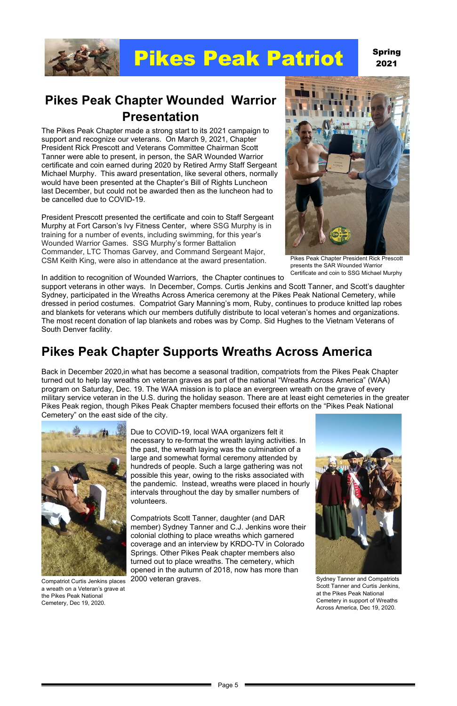

2021

### **Pikes Peak Chapter Wounded Warrior Presentation**

The Pikes Peak Chapter made a strong start to its 2021 campaign to support and recognize our veterans. On March 9, 2021, Chapter President Rick Prescott and Veterans Committee Chairman Scott Tanner were able to present, in person, the SAR Wounded Warrior certificate and coin earned during 2020 by Retired Army Staff Sergeant Michael Murphy. This award presentation, like several others, normally would have been presented at the Chapter's Bill of Rights Luncheon last December, but could not be awarded then as the luncheon had to be cancelled due to COVID-19.

President Prescott presented the certificate and coin to Staff Sergeant Murphy at Fort Carson's Ivy Fitness Center, where SSG Murphy is in training for a number of events, including swimming, for this year's Wounded Warrior Games. SSG Murphy's former Battalion Commander, LTC Thomas Garvey, and Command Sergeant Major, CSM Keith King, were also in attendance at the award presentation.

In addition to recognition of Wounded Warriors, the Chapter continues to

support veterans in other ways. In December, Comps. Curtis Jenkins and Scott Tanner, and Scott's daughter Sydney, participated in the Wreaths Across America ceremony at the Pikes Peak National Cemetery, while dressed in period costumes. Compatriot Gary Manning's mom, Ruby, continues to produce knitted lap robes and blankets for veterans which our members dutifully distribute to local veteran's homes and organizations. The most recent donation of lap blankets and robes was by Comp. Sid Hughes to the Vietnam Veterans of South Denver facility.

### **Pikes Peak Chapter Supports Wreaths Across America**

Back in December 2020,in what has become a seasonal tradition, compatriots from the Pikes Peak Chapter turned out to help lay wreaths on veteran graves as part of the national "Wreaths Across America" (WAA) program on Saturday, Dec. 19. The WAA mission is to place an evergreen wreath on the grave of every military service veteran in the U.S. during the holiday season. There are at least eight cemeteries in the greater Pikes Peak region, though Pikes Peak Chapter members focused their efforts on the "Pikes Peak National Cemetery" on the east side of the city.



Due to COVID-19, local WAA organizers felt it necessary to re-format the wreath laying activities. In the past, the wreath laying was the culmination of a large and somewhat formal ceremony attended by hundreds of people. Such a large gathering was not possible this year, owing to the risks associated with the pandemic. Instead, wreaths were placed in hourly intervals throughout the day by smaller numbers of volunteers.

Compatriots Scott Tanner, daughter (and DAR member) Sydney Tanner and C.J. Jenkins wore their colonial clothing to place wreaths which garnered coverage and an interview by KRDO-TV in Colorado Springs. Other Pikes Peak chapter members also turned out to place wreaths. The cemetery, which opened in the autumn of 2018, now has more than 2000 veteran graves.



Pikes Peak Chapter President Rick Prescott presents the SAR Wounded Warrior Certificate and coin to SSG Michael Murphy

Compatriot Curtis Jenkins places a wreath on a Veteran's grave at the Pikes Peak National Cemetery, Dec 19, 2020.

Sydney Tanner and Compatriots Scott Tanner and Curtis Jenkins, at the Pikes Peak National Cemetery in support of Wreaths Across America, Dec 19, 2020.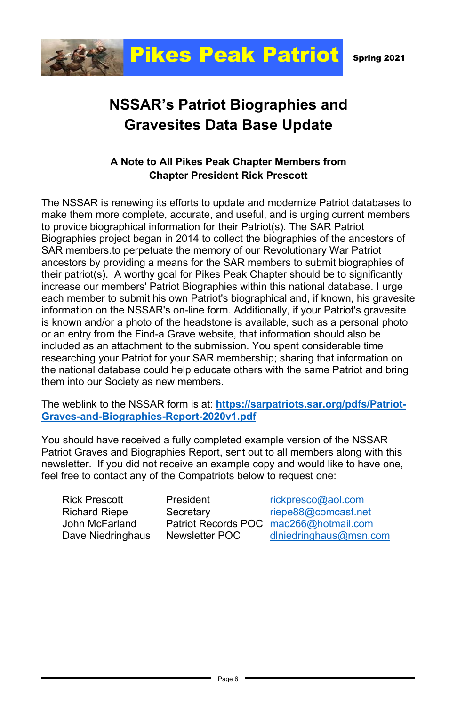## **NSSAR's Patriot Biographies and Gravesites Data Base Update**

#### **A Note to All Pikes Peak Chapter Members from Chapter President Rick Prescott**

The NSSAR is renewing its efforts to update and modernize Patriot databases to make them more complete, accurate, and useful, and is urging current members to provide biographical information for their Patriot(s). The SAR Patriot Biographies project began in 2014 to collect the biographies of the ancestors of SAR members.to perpetuate the memory of our Revolutionary War Patriot ancestors by providing a means for the SAR members to submit biographies of their patriot(s). A worthy goal for Pikes Peak Chapter should be to significantly increase our members' Patriot Biographies within this national database. I urge each member to submit his own Patriot's biographical and, if known, his gravesite information on the NSSAR's on-line form. Additionally, if your Patriot's gravesite is known and/or a photo of the headstone is available, such as a personal photo or an entry from the Find-a Grave website, that information should also be included as an attachment to the submission. You spent considerable time researching your Patriot for your SAR membership; sharing that information on the national database could help educate others with the same Patriot and bring them into our Society as new members.

#### The weblink to the NSSAR form is at: **[https://sarpatriots.sar.org/pdfs/Patriot-](https://sarpatriots.sar.org/pdfs/Patriot-Graves-and-Biographies-Report-2020v1.pdf)[Graves-and-Biographies-Report-2020v1.pdf](https://sarpatriots.sar.org/pdfs/Patriot-Graves-and-Biographies-Report-2020v1.pdf)**

You should have received a fully completed example version of the NSSAR Patriot Graves and Biographies Report, sent out to all members along with this newsletter. If you did not receive an example copy and would like to have one, feel free to contact any of the Compatriots below to request one:

Rick Prescott President **President** [rickpresco@aol.com](mailto:rickpresco@aol.com) Richard Riepe Secretary The Richard Riepess Richard Riepess

| John McFarland    |                | Patriot Records POC mac266@hotmail.com |
|-------------------|----------------|----------------------------------------|
| Dave Niedringhaus | Newsletter POC | dlniedringhaus@msn.com                 |